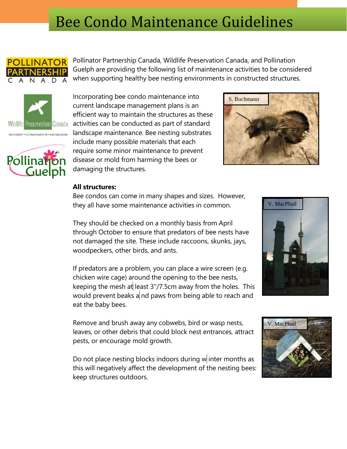# Bee Condo Maintenance Guidelines



Pollinator Partnership Canada, Wildlife Preservation Canada, and Pollination Guelph are providing the following list of maintenance activities to be considered when supporting healthy bee nesting environments in constructed structures.





Incorporating bee condo maintenance into current landscape management plans is an efficient way to maintain the structures as these activities can be conducted as part of standard landscape maintenance. Bee nesting substrates include many possible materials that each require some minor maintenance to prevent disease or mold from harming the bees or damaging the structures.



## **All structures:**

Bee condos can come in many shapes and sizes. However, they all have some maintenance activities in common.

They should be checked on a monthly basis from April through October to ensure that predators of bee nests have not damaged the site. These include raccoons, skunks, jays, woodpeckers, other birds, and ants.

If predators are a problem, you can place a wire screen (e.g. chicken wire cage) around the opening to the bee nests, keeping the mesh at least  $3''/7.5$ cm away from the holes. This would prevent beaks a nd paws from being able to reach and eat the baby bees.

Remove and brush away any cobwebs, bird or wasp nests, leaves, or other debris that could block nest entrances, attract pests, or encourage mold growth.

Do not place nesting blocks indoors during  $w$  inter months as this will negatively affect the development of the nesting bees: keep structures outdoors.



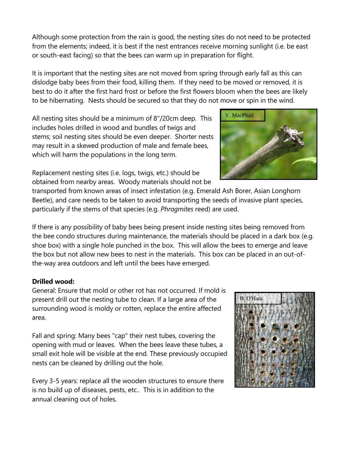Although some protection from the rain is good, the nesting sites do not need to be protected from the elements; indeed, it is best if the nest entrances receive morning sunlight (i.e. be east or south-east facing) so that the bees can warm up in preparation for flight.

It is important that the nesting sites are not moved from spring through early fall as this can dislodge baby bees from their food, killing them. If they need to be moved or removed, it is best to do it after the first hard frost or before the first flowers bloom when the bees are likely to be hibernating. Nests should be secured so that they do not move or spin in the wind.

All nesting sites should be a minimum of 8"/20cm deep. This includes holes drilled in wood and bundles of twigs and stems; soil nesting sites should be even deeper. Shorter nests may result in a skewed production of male and female bees, which will harm the populations in the long term.

Replacement nesting sites (i.e. logs, twigs, etc.) should be obtained from nearby areas. Woody materials should not be

transported from known areas of insect infestation (e.g. Emerald Ash Borer, Asian Longhorn Beetle), and care needs to be taken to avoid transporting the seeds of invasive plant species, particularly if the stems of that species (e.g. *Phragmites* reed) are used.

If there is any possibility of baby bees being present inside nesting sites being removed from the bee condo structures during maintenance, the materials should be placed in a dark box (e.g. shoe box) with a single hole punched in the box. This will allow the bees to emerge and leave the box but not allow new bees to nest in the materials. This box can be placed in an out-ofthe-way area outdoors and left until the bees have emerged.

## **Drilled wood:**

General: Ensure that mold or other rot has not occurred. If mold is present drill out the nesting tube to clean. If a large area of the surrounding wood is moldy or rotten, replace the entire affected area.

Fall and spring: Many bees "cap" their nest tubes, covering the opening with mud or leaves. When the bees leave these tubes, a small exit hole will be visible at the end. These previously occupied nests can be cleaned by drilling out the hole.

Every 3-5 years: replace all the wooden structures to ensure there is no build up of diseases, pests, etc.. This is in addition to the annual cleaning out of holes.